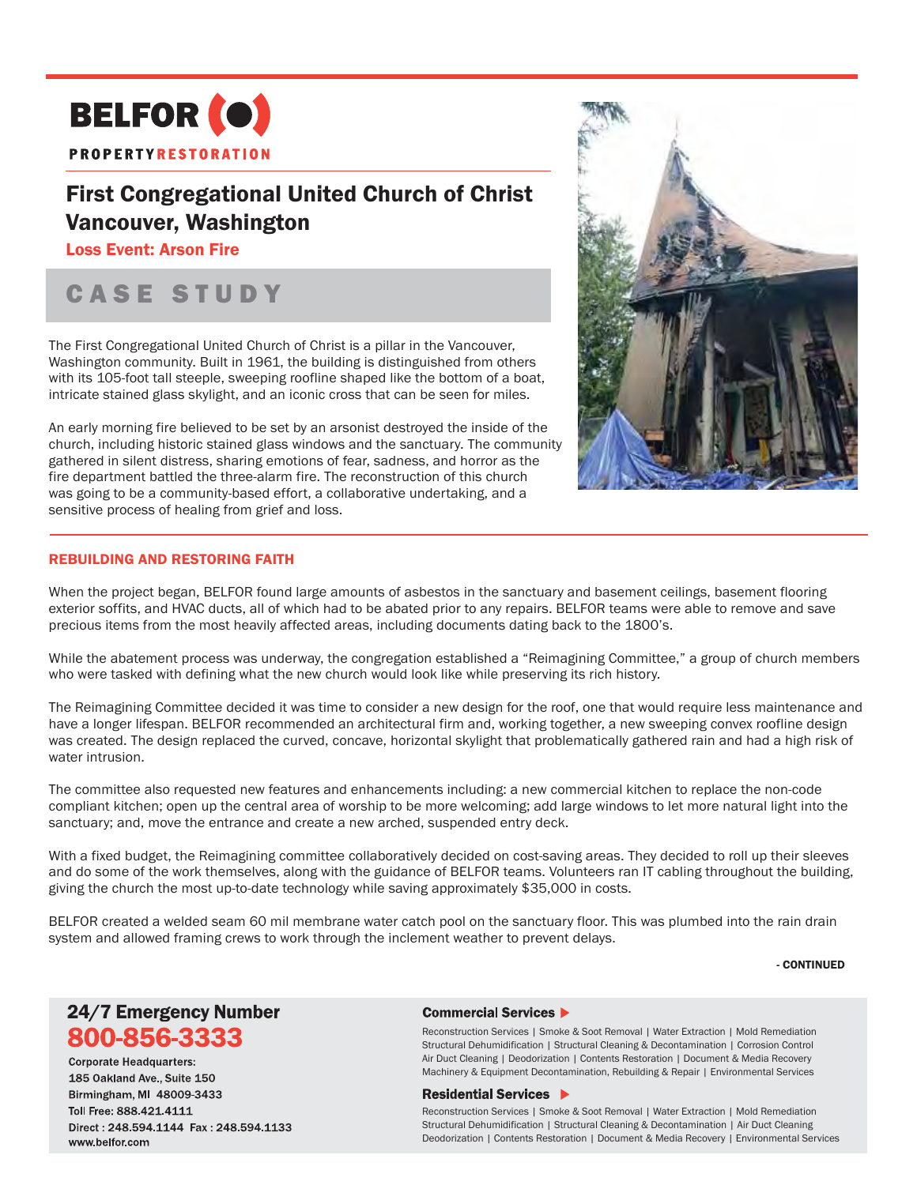

## First Congregational United Church of Christ Vancouver, Washington

### Loss Event: Arson Fire

# CASE STUDY

The First Congregational United Church of Christ is a pillar in the Vancouver, Washington community. Built in 1961, the building is distinguished from others with its 105-foot tall steeple, sweeping roofline shaped like the bottom of a boat, intricate stained glass skylight, and an iconic cross that can be seen for miles.

An early morning fire believed to be set by an arsonist destroyed the inside of the church, including historic stained glass windows and the sanctuary. The community gathered in silent distress, sharing emotions of fear, sadness, and horror as the fire department battled the three-alarm fire. The reconstruction of this church was going to be a community-based effort, a collaborative undertaking, and a sensitive process of healing from grief and loss.



### REBUILDING AND RESTORING FAITH

When the project began, BELFOR found large amounts of asbestos in the sanctuary and basement ceilings, basement flooring exterior soffits, and HVAC ducts, all of which had to be abated prior to any repairs. BELFOR teams were able to remove and save precious items from the most heavily affected areas, including documents dating back to the 1800's.

While the abatement process was underway, the congregation established a "Reimagining Committee," a group of church members who were tasked with defining what the new church would look like while preserving its rich history.

The Reimagining Committee decided it was time to consider a new design for the roof, one that would require less maintenance and have a longer lifespan. BELFOR recommended an architectural firm and, working together, a new sweeping convex roofline design was created. The design replaced the curved, concave, horizontal skylight that problematically gathered rain and had a high risk of water intrusion.

The committee also requested new features and enhancements including: a new commercial kitchen to replace the non-code compliant kitchen; open up the central area of worship to be more welcoming; add large windows to let more natural light into the sanctuary; and, move the entrance and create a new arched, suspended entry deck.

With a fixed budget, the Reimagining committee collaboratively decided on cost-saving areas. They decided to roll up their sleeves and do some of the work themselves, along with the guidance of BELFOR teams. Volunteers ran IT cabling throughout the building, giving the church the most up-to-date technology while saving approximately \$35,000 in costs.

BELFOR created a welded seam 60 mil membrane water catch pool on the sanctuary floor. This was plumbed into the rain drain system and allowed framing crews to work through the inclement weather to prevent delays.

#### - CONTINUED

## 24/7 Emergency Number 800-856-3333

**Corporate Headquarters:** 185 Oakland Ave., Suite 150 Birmingham, MI 48009-3433 Toll Free: 888.421.4111 Direct: 248 594 1144 Fax: 248 594 1133 www.belfor.com

#### Commercial Services ▶

Reconstruction Services | Smoke & Soot Removal | Water Extraction | Mold Remediation Structural Dehumidification | Structural Cleaning & Decontamination | Corrosion Control Air Duct Cleaning | Deodorization | Contents Restoration | Document & Media Recovery Machinery & Equipment Decontamination, Rebuilding & Repair | Environmental Services

#### **Residential Services ▶**

Reconstruction Services | Smoke & Soot Removal | Water Extraction | Mold Remediation Structural Dehumidification | Structural Cleaning & Decontamination | Air Duct Cleaning Deodorization | Contents Restoration | Document & Media Recovery | Environmental Services